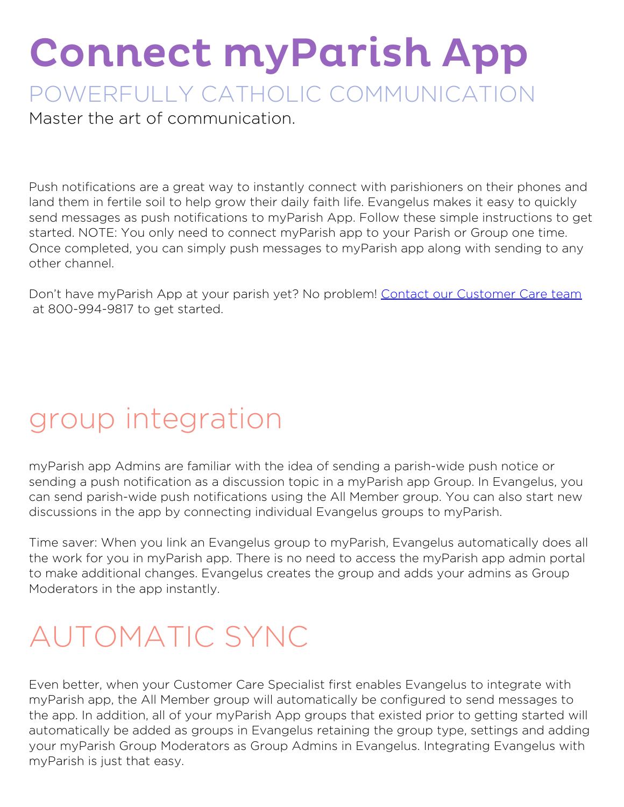## Connect myParish App POWERFULLY CATHOLIC COMMUNICATION

Master the art of communication.

Push notifications are a great way to instantly connect with parishioners on their phones and land them in fertile soil to help grow their daily faith life. Evangelus makes it easy to quickly send messages as push notifications to myParish App. Follow these simple instructions to get started. NOTE: You only need to connect myParish app to your Parish or Group one time. Once completed, you can simply push messages to myParish app along with sending to any other channel.

Don't have myParish App at your parish yet? No problem! [Contact our Customer Care team](https://diocesan.com/customer-care/) at 800-994-9817 to get started.

## **group integration**

myParish app Admins are familiar with the idea of sending a parish-wide push notice or sending a push notification as a discussion topic in a myParish app Group. In Evangelus, you can send parish-wide push notifications using the All Member group. You can also start new discussions in the app by connecting individual Evangelus groups to myParish.

**Time saver:** When you link an Evangelus group to myParish, Evangelus automatically does all the work for you in myParish app. There is no need to access the myParish app admin portal to make additional changes. Evangelus creates the group and adds your admins as Group Moderators in the app instantly.

## **AUTOMATIC SYNC**

Even better, when your Customer Care Specialist first enables Evangelus to integrate with myParish app, the All Member group will automatically be configured to send messages to the app. In addition, all of your myParish App groups that existed prior to getting started will automatically be added as groups in Evangelus retaining the group type, settings and adding your myParish Group Moderators as Group Admins in Evangelus. Integrating Evangelus with myParish is just that easy.